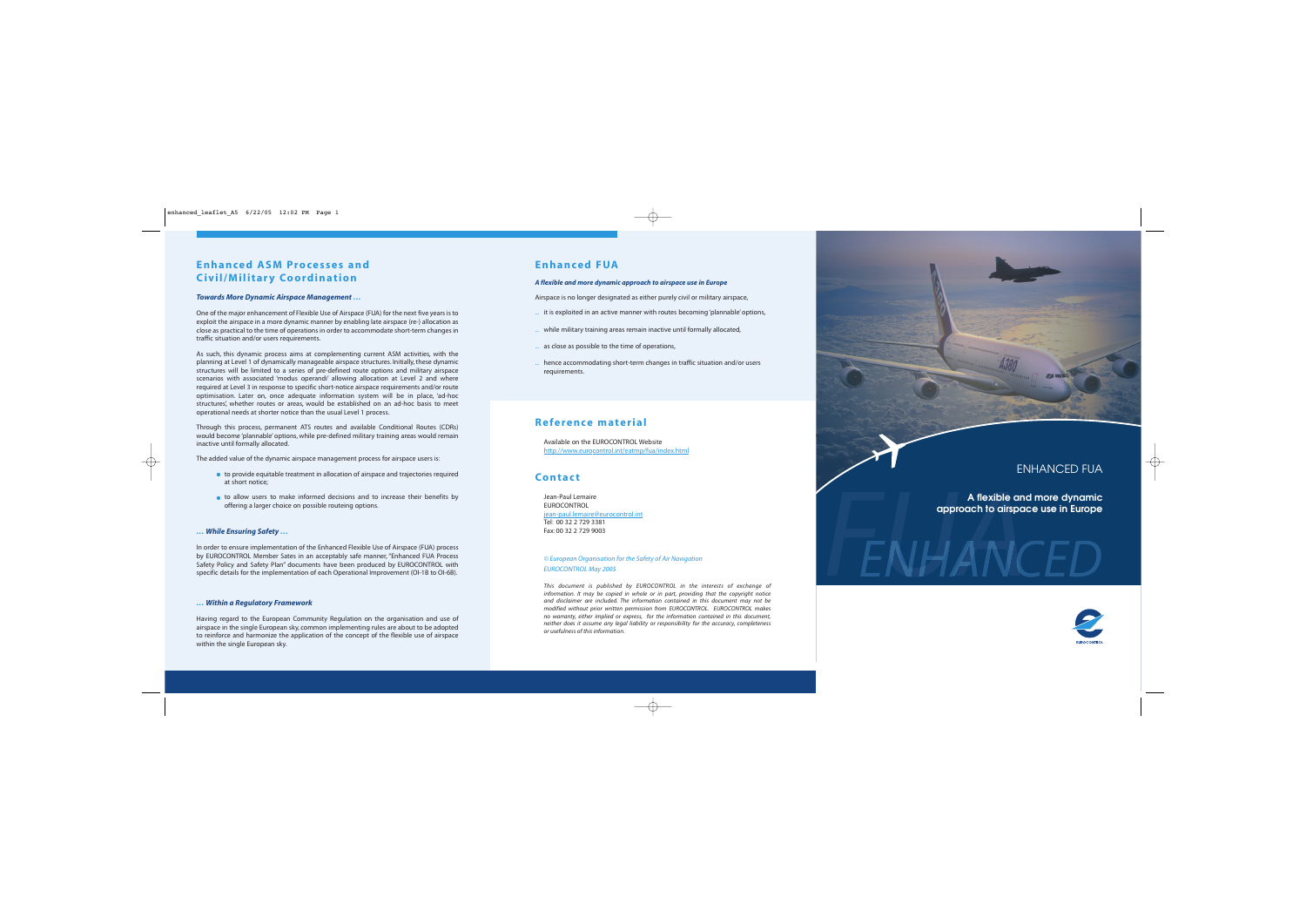## **Enhanced ASM Processes and Civil/Military Coordination**

### *Towards More Dynamic Airspace Management …*

One of the major enhancement of Flexible Use of Airspace (FUA) for the next five years is to exploit the airspace in a more dynamic manner by enabling late airspace (re-) allocation as close as practical to the time of operations in order to accommodate short-term changes in traffic situation and/or users requirements.

As such, this dynamic process aims at complementing current ASM activities, with the planning at Level 1 of dynamically manageable airspace structures. Initially, these dynamic structures will be limited to a series of pre-defined route options and military airspace scenarios with associated 'modus operandi' allowing allocation at Level 2 and where required at Level 3 in response to specific short-notice airspace requirements and/or route optimisation. Later on, once adequate information system will be in place, 'ad-hoc structures', whether routes or areas, would be established on an ad-hoc basis to meet operational needs at shorter notice than the usual Level 1 process.

In order to ensure implementation of the Enhanced Flexible Use of Airspace (FUA) process by EUROCONTROL Member Sates in an acceptably safe manner, "Enhanced FUA Process Safety Policy and Safety Plan" documents have been produced by EUROCONTROL with specific details for the implementation of each Operational Improvement (OI-1B to OI-6B).

Through this process, permanent ATS routes and available Conditional Routes (CDRs) would become 'plannable' options, while pre-defined military training areas would remain inactive until formally allocated.

The added value of the dynamic airspace management process for airspace users is:

- to provide equitable treatment in allocation of airspace and trajectories required at short notice;
- to allow users to make informed decisions and to increase their benefits by offering a larger choice on possible routeing options.

### *… While Ensuring Safety …*

# A flexible and more dynamic<br>approach to dirspace use in Europe<br>**FIAA ANCED A flexible and more dynamic approach to airspace use in Europe**



### *… Within a Regulatory Framework*

Having regard to the European Community Regulation on the organisation and use of airspace in the single European sky, common implementing rules are about to be adopted to reinforce and harmonize the application of the concept of the flexible use of airspace within the single European sky.

## **Enhanced FUA**

### *A flexible and more dynamic approach to airspace use in Europe*

Airspace is no longer designated as either purely civil or military airspace,

- ... it is exploited in an active manner with routes becoming 'plannable' options,
- while military training areas remain inactive until formally allocated,
- ... as close as possible to the time of operations,
- hence accommodating short-term changes in traffic situation and/or users requirements.

## **Reference material**

Available on the EUROCONTROL Website http://www.eurocontrol.int/eatmp/fua/index.html

## **Contact**

Jean-Paul Lemaire EUROCONTROL jean-paul.lemaire@eurocontrol.int Tel: 00 32 2 729 3381 Fax: 00 32 2 729 9003

### *© European Organisation for the Safety of Air Navigation EUROCONTROL May 2005*

*This document is published by EUROCONTROL in the interests of exchange of information. It may be copied in whole or in part, providing that the copyright notice and disclaimer are included. The information contained in this document may not be modified without prior written permission from EUROCONTROL. EUROCONTROL makes no warranty, either implied or express, for the information contained in this document, neither does it assume any legal liability or responsibility for the accuracy, completeness or usefulness of this information.*



## ENHANCED FUA